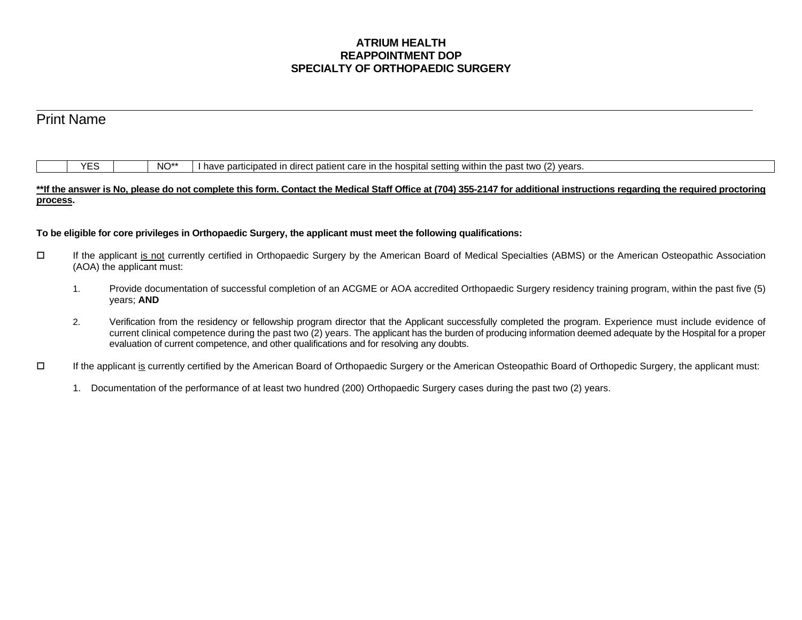## **ATRIUM HEALTH REAPPOINTMENT DOP SPECIALTY OF ORTHOPAEDIC SURGERY**

|          | <b>Print Name</b>                                                                                                                                                                           |                                                                                                                                                                                                                                                                                                                                                                                                                        |  |  |  |  |  |  |  |  |
|----------|---------------------------------------------------------------------------------------------------------------------------------------------------------------------------------------------|------------------------------------------------------------------------------------------------------------------------------------------------------------------------------------------------------------------------------------------------------------------------------------------------------------------------------------------------------------------------------------------------------------------------|--|--|--|--|--|--|--|--|
|          |                                                                                                                                                                                             |                                                                                                                                                                                                                                                                                                                                                                                                                        |  |  |  |  |  |  |  |  |
|          |                                                                                                                                                                                             |                                                                                                                                                                                                                                                                                                                                                                                                                        |  |  |  |  |  |  |  |  |
|          | <b>YES</b>                                                                                                                                                                                  | NO <sup>**</sup><br>have participated in direct patient care in the hospital setting within the past two (2) years.                                                                                                                                                                                                                                                                                                    |  |  |  |  |  |  |  |  |
|          |                                                                                                                                                                                             | **If the answer is No, please do not complete this form. Contact the Medical Staff Office at (704) 355-2147 for additional instructions regarding the required proctoring                                                                                                                                                                                                                                              |  |  |  |  |  |  |  |  |
| process. |                                                                                                                                                                                             |                                                                                                                                                                                                                                                                                                                                                                                                                        |  |  |  |  |  |  |  |  |
|          |                                                                                                                                                                                             |                                                                                                                                                                                                                                                                                                                                                                                                                        |  |  |  |  |  |  |  |  |
|          |                                                                                                                                                                                             | To be eligible for core privileges in Orthopaedic Surgery, the applicant must meet the following qualifications:                                                                                                                                                                                                                                                                                                       |  |  |  |  |  |  |  |  |
| $\Box$   | If the applicant is not currently certified in Orthopaedic Surgery by the American Board of Medical Specialties (ABMS) or the American Osteopathic Association<br>(AOA) the applicant must: |                                                                                                                                                                                                                                                                                                                                                                                                                        |  |  |  |  |  |  |  |  |
|          | 1.                                                                                                                                                                                          | Provide documentation of successful completion of an ACGME or AOA accredited Orthopaedic Surgery residency training program, within the past five (5)<br>years; AND                                                                                                                                                                                                                                                    |  |  |  |  |  |  |  |  |
|          | 2.                                                                                                                                                                                          | Verification from the residency or fellowship program director that the Applicant successfully completed the program. Experience must include evidence of<br>current clinical competence during the past two (2) years. The applicant has the burden of producing information deemed adequate by the Hospital for a proper<br>evaluation of current competence, and other qualifications and for resolving any doubts. |  |  |  |  |  |  |  |  |
| $\Box$   | If the applicant is currently certified by the American Board of Orthopaedic Surgery or the American Osteopathic Board of Orthopedic Surgery, the applicant must:                           |                                                                                                                                                                                                                                                                                                                                                                                                                        |  |  |  |  |  |  |  |  |

1. Documentation of the performance of at least two hundred (200) Orthopaedic Surgery cases during the past two (2) years.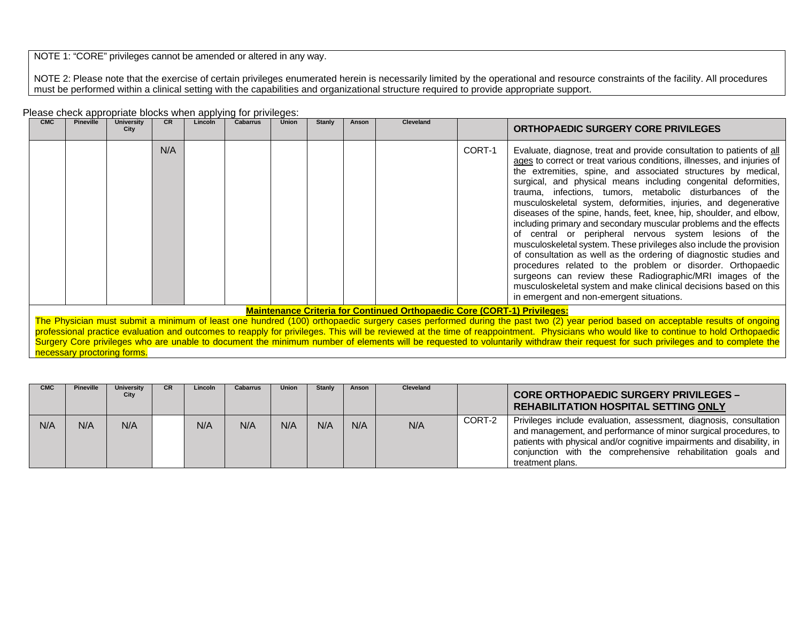NOTE 1: "CORE" privileges cannot be amended or altered in any way.

NOTE 2: Please note that the exercise of certain privileges enumerated herein is necessarily limited by the operational and resource constraints of the facility. All procedures must be performed within a clinical setting with the capabilities and organizational structure required to provide appropriate support.

| Please check appropriate blocks when applying for privileges: |
|---------------------------------------------------------------|
|---------------------------------------------------------------|

| <b>CMC</b>                                                                                                                                                                                                                                                                                                                                                                                                                                                                                                                                                                                  | <b>Pineville</b> | <b>University</b><br>City | <b>CR</b> | Lincoln | <b>Cabarrus</b> | Union | <b>Stanly</b> | Anson | Cleveland |        | <b>ORTHOPAEDIC SURGERY CORE PRIVILEGES</b>                                                                                                                                                                                                                                                                                                                                                                                                                                                                                                                                                                                                                                                                                                                                                                                                                                                                                                                                                                      |
|---------------------------------------------------------------------------------------------------------------------------------------------------------------------------------------------------------------------------------------------------------------------------------------------------------------------------------------------------------------------------------------------------------------------------------------------------------------------------------------------------------------------------------------------------------------------------------------------|------------------|---------------------------|-----------|---------|-----------------|-------|---------------|-------|-----------|--------|-----------------------------------------------------------------------------------------------------------------------------------------------------------------------------------------------------------------------------------------------------------------------------------------------------------------------------------------------------------------------------------------------------------------------------------------------------------------------------------------------------------------------------------------------------------------------------------------------------------------------------------------------------------------------------------------------------------------------------------------------------------------------------------------------------------------------------------------------------------------------------------------------------------------------------------------------------------------------------------------------------------------|
|                                                                                                                                                                                                                                                                                                                                                                                                                                                                                                                                                                                             |                  |                           | N/A       |         |                 |       |               |       |           | CORT-1 | Evaluate, diagnose, treat and provide consultation to patients of all<br>ages to correct or treat various conditions, illnesses, and injuries of<br>the extremities, spine, and associated structures by medical,<br>surgical, and physical means including congenital deformities,<br>trauma, infections, tumors, metabolic disturbances of the<br>musculoskeletal system, deformities, injuries, and degenerative<br>diseases of the spine, hands, feet, knee, hip, shoulder, and elbow,<br>including primary and secondary muscular problems and the effects<br>of central or peripheral nervous system lesions of the<br>musculoskeletal system. These privileges also include the provision<br>of consultation as well as the ordering of diagnostic studies and<br>procedures related to the problem or disorder. Orthopaedic<br>surgeons can review these Radiographic/MRI images of the<br>musculoskeletal system and make clinical decisions based on this<br>in emergent and non-emergent situations. |
| <b>Maintenance Criteria for Continued Orthopaedic Core (CORT-1) Privileges:</b>                                                                                                                                                                                                                                                                                                                                                                                                                                                                                                             |                  |                           |           |         |                 |       |               |       |           |        |                                                                                                                                                                                                                                                                                                                                                                                                                                                                                                                                                                                                                                                                                                                                                                                                                                                                                                                                                                                                                 |
| The Physician must submit a minimum of least one hundred (100) orthopaedic surgery cases performed during the past two (2) year period based on acceptable results of ongoing<br>professional practice evaluation and outcomes to reapply for privileges. This will be reviewed at the time of reappointment. Physicians who would like to continue to hold Orthopaedic<br>Surgery Core privileges who are unable to document the minimum number of elements will be requested to voluntarily withdraw their request for such privileges and to complete the<br>necessary proctoring forms. |                  |                           |           |         |                 |       |               |       |           |        |                                                                                                                                                                                                                                                                                                                                                                                                                                                                                                                                                                                                                                                                                                                                                                                                                                                                                                                                                                                                                 |

| <b>CMC</b> | <b>Pineville</b> | <b>University</b><br>City | CR. | Lincoln | <b>Cabarrus</b> | Union | <b>Stanly</b> | Anson | <b>Cleveland</b> |        | <b>CORE ORTHOPAEDIC SURGERY PRIVILEGES -</b><br><b>REHABILITATION HOSPITAL SETTING ONLY</b>                                                                                                                                                                                                           |
|------------|------------------|---------------------------|-----|---------|-----------------|-------|---------------|-------|------------------|--------|-------------------------------------------------------------------------------------------------------------------------------------------------------------------------------------------------------------------------------------------------------------------------------------------------------|
| N/A        | N/A              | N/A                       |     | N/A     | N/A             | N/A   | N/A           | N/A   | N/A              | CORT-2 | Privileges include evaluation, assessment, diagnosis, consultation<br>and management, and performance of minor surgical procedures, to  <br>patients with physical and/or cognitive impairments and disability, in<br>conjunction with the comprehensive rehabilitation goals and<br>treatment plans. |